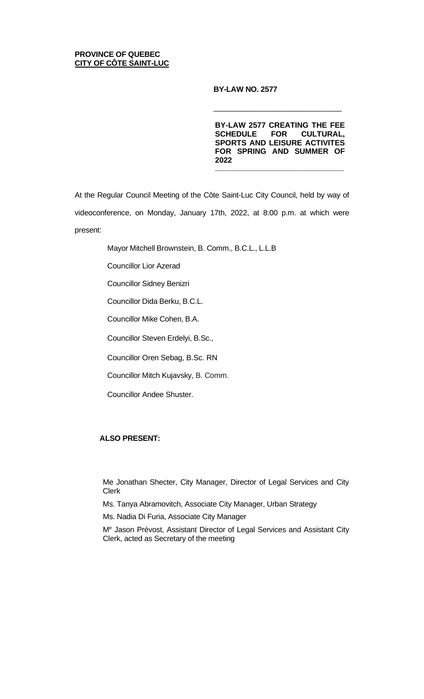# **PROVINCE OF QUEBEC CITY OF CÔTE SAINT-LUC**

# **BY-LAW NO. 2577**

**BY-LAW 2577 CREATING THE FEE SCHEDULE FOR CULTURAL, SPORTS AND LEISURE ACTIVITES FOR SPRING AND SUMMER OF 2022**

\_\_\_\_\_\_\_\_\_\_\_\_\_\_\_\_\_\_\_\_\_\_\_\_\_\_\_\_\_\_\_

 $\overline{\phantom{a}}$  , and the contract of the contract of the contract of the contract of the contract of the contract of the contract of the contract of the contract of the contract of the contract of the contract of the contrac

At the Regular Council Meeting of the Côte Saint-Luc City Council, held by way of videoconference, on Monday, January 17th, 2022, at 8:00 p.m. at which were present:

Mayor Mitchell Brownstein, B. Comm., B.C.L., L.L.B

Councillor Lior Azerad

Councillor Sidney Benizri

Councillor Dida Berku, B.C.L.

Councillor Mike Cohen, B.A.

Councillor Steven Erdelyi, B.Sc.,

Councillor Oren Sebag, B.Sc. RN

Councillor Mitch Kujavsky, B. Comm.

Councillor Andee Shuster.

# **ALSO PRESENT:**

Me Jonathan Shecter, City Manager, Director of Legal Services and City Clerk

Ms. Tanya Abramovitch, Associate City Manager, Urban Strategy

Ms. Nadia Di Furia, Associate City Manager

Me Jason Prévost, Assistant Director of Legal Services and Assistant City Clerk, acted as Secretary of the meeting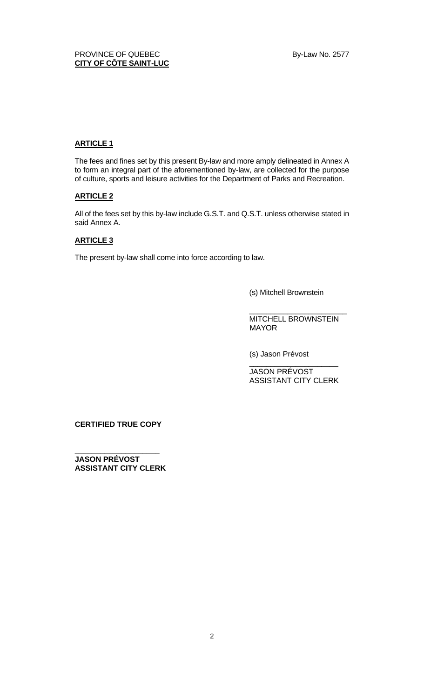# **ARTICLE 1**

The fees and fines set by this present By-law and more amply delineated in Annex A to form an integral part of the aforementioned by-law, are collected for the purpose of culture, sports and leisure activities for the Department of Parks and Recreation.

# **ARTICLE 2**

All of the fees set by this by-law include G.S.T. and Q.S.T. unless otherwise stated in said Annex A.

# **ARTICLE 3**

The present by-law shall come into force according to law.

(s) Mitchell Brownstein

MITCHELL BROWNSTEIN MAYOR

\_\_\_\_\_\_\_\_\_\_\_\_\_\_\_\_\_\_\_\_\_\_\_

(s) Jason Prévost

\_\_\_\_\_\_\_\_\_\_\_\_\_\_\_\_\_\_\_\_\_ JASON PRÉVOST ASSISTANT CITY CLERK

**CERTIFIED TRUE COPY**

**\_\_\_\_\_\_\_\_\_\_\_\_\_\_\_\_\_\_\_\_ JASON PRÉVOST ASSISTANT CITY CLERK**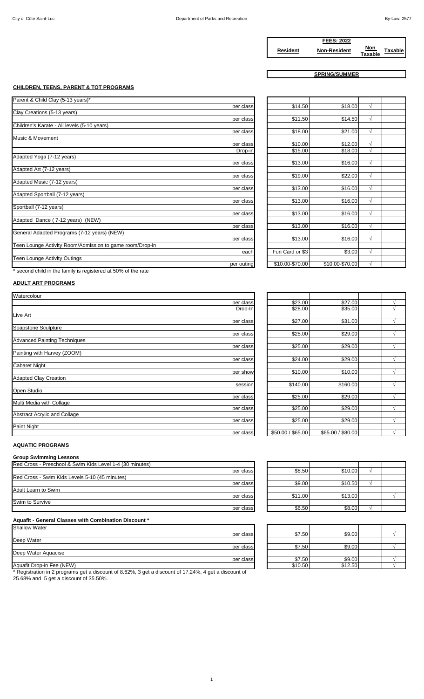|                 | <b>FEES: 2022</b>   |                       |                |
|-----------------|---------------------|-----------------------|----------------|
| <b>Resident</b> | <b>Non-Resident</b> | Non<br><b>Taxable</b> | <b>Taxable</b> |

**SPRING/SUMMER**

# **CHILDREN, TEENS, PARENT & TOT PROGRAMS**

| Parent & Child Clay (5-13 years)*                        |            |
|----------------------------------------------------------|------------|
|                                                          | per class  |
| Clay Creations (5-13 years)                              |            |
|                                                          | per class  |
| Children's Karate - All levels (5-10 years)              |            |
|                                                          | per class  |
| Music & Movement                                         |            |
|                                                          | per class  |
|                                                          | Drop-in    |
| Adapted Yoga (7-12 years)                                |            |
|                                                          | per class  |
| Adapted Art (7-12 years)                                 |            |
|                                                          | per class  |
| Adapted Music (7-12 years)                               |            |
|                                                          | per class  |
| Adapted Sportball (7-12 years)                           |            |
|                                                          | per class  |
| Sportball (7-12 years)                                   |            |
|                                                          | per class  |
| Adapted Dance (7-12 years) (NEW)                         |            |
|                                                          | per class  |
| General Adapted Programs (7-12 years) (NEW)              |            |
|                                                          | per class  |
| Teen Lounge Activity Room/Admission to game room/Drop-in |            |
|                                                          | each       |
| Teen Lounge Activity Outings                             |            |
|                                                          | per outing |

| per class | \$14.50         | \$18.00         | V          |  |
|-----------|-----------------|-----------------|------------|--|
|           |                 |                 |            |  |
| per class | \$11.50         | \$14.50         | $\sqrt{}$  |  |
|           |                 |                 |            |  |
| per class | \$18.00         | \$21.00         | $\sqrt{}$  |  |
|           |                 |                 |            |  |
| per class | \$10.00         | \$12.00         | V          |  |
| Drop-in   | \$15.00         | \$18.00         | V          |  |
|           |                 |                 |            |  |
| per class | \$13.00         | \$16.00         | $\sqrt{}$  |  |
|           |                 |                 |            |  |
| per class | \$19.00         | \$22.00         | V          |  |
|           |                 |                 |            |  |
| per class | \$13.00         | \$16.00         | $\sqrt{}$  |  |
|           |                 |                 |            |  |
| per class | \$13.00         | \$16.00         | $\sqrt{}$  |  |
|           |                 |                 |            |  |
| per class | \$13.00         | \$16.00         | $\sqrt{ }$ |  |
|           |                 |                 |            |  |
| per class | \$13.00         | \$16.00         | $\sqrt{}$  |  |
|           |                 |                 |            |  |
| per class | \$13.00         | \$16.00         | V          |  |
|           |                 |                 |            |  |
| each      | Fun Card or \$3 | \$3.00          | $\sqrt{}$  |  |
| er outing | \$10.00-\$70.00 | \$10.00-\$70.00 | V          |  |
|           |                 |                 |            |  |

\* second child in the family is registered at 50% of the rate

# **ADULT ART PROGRAMS**

| Watercolour                         |           |
|-------------------------------------|-----------|
|                                     | per class |
|                                     | Drop-In   |
| <b>Live Art</b>                     |           |
|                                     | per class |
| Soapstone Sculpture                 |           |
|                                     | per class |
| <b>Advanced Painting Techniques</b> |           |
|                                     | per class |
| Painting with Harvey (ZOOM)         |           |
|                                     | per class |
| <b>Cabaret Night</b>                |           |
|                                     | per show  |
| <b>Adapted Clay Creation</b>        |           |
|                                     | session   |
| Open Studio                         |           |
|                                     | per class |
| Multi Media with Collage            |           |
|                                     | per class |
| Abstract Acrylic and Collage        |           |
|                                     | per class |
| Paint Night                         |           |
|                                     | per class |

| per class | \$23.00           | \$27.00           |   |
|-----------|-------------------|-------------------|---|
| Drop-In   | \$28.00           | \$35.00           |   |
|           |                   |                   |   |
| per class | \$27.00           | \$31.00           |   |
|           |                   |                   |   |
| per class | \$25.00           | \$29.00           | V |
|           |                   |                   |   |
| per class | \$25.00           | \$29.00           |   |
|           |                   |                   |   |
| per class | \$24.00           | \$29.00           | N |
|           |                   |                   |   |
| per show  | \$10.00           | \$10.00           |   |
|           |                   |                   |   |
| session   | \$140.00          | \$160.00          |   |
|           |                   |                   |   |
| per class | \$25.00           | \$29.00           |   |
|           |                   |                   |   |
| per class | \$25.00           | \$29.00           |   |
|           | \$25.00           | \$29.00           | V |
| per class |                   |                   |   |
| per class | \$50.00 / \$65.00 | \$65.00 / \$80.00 |   |
|           |                   |                   |   |

## **AQUATIC PROGRAMS**

**Group Swimming Lessons**

| Red Cross - Preschool & Swim Kids Level 1-4 (30 minutes) |           |
|----------------------------------------------------------|-----------|
|                                                          | per class |
| Red Cross - Swim Kids Levels 5-10 (45 minutes)           |           |
|                                                          | per class |
| Adult Learn to Swim                                      |           |
|                                                          | per class |
| Swim to Survive                                          |           |
|                                                          | per class |

#### **Aquafit - General Classes with Combination Discount \***

| <b>Shallow Water</b>      |           |
|---------------------------|-----------|
|                           | per class |
| Deep Water                |           |
|                           | per class |
| Deep Water Aquacise       |           |
|                           | per class |
| Aquatit Drop-in Eee (NEW) |           |

\* Registration in 2 programs get a discount of 8.62%, 3 get a discount of 17.24%, 4 get a discount of 25.68% and 5 get a discount of 35.50%.

| per class | \$8.50  | \$10.00 |  |
|-----------|---------|---------|--|
|           |         |         |  |
| per class | \$9.00  | \$10.50 |  |
|           |         |         |  |
| per class | \$11.00 | \$13.00 |  |
|           |         |         |  |
| per class | \$6.50  | \$8.00  |  |
|           |         |         |  |

| <b>Shallow Water</b>      |         |         |  |
|---------------------------|---------|---------|--|
| per class                 | \$7.50  | \$9.00  |  |
| Deep Water                |         |         |  |
| per class                 | \$7.50  | \$9.00  |  |
| Deep Water Aquacise       |         |         |  |
| per class                 | \$7.50  | \$9.00  |  |
| Aquafit Drop-in Fee (NEW) | \$10.50 | \$12.50 |  |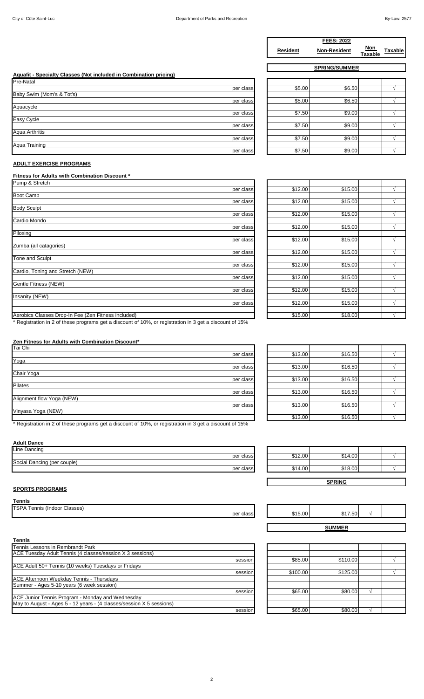|                 | <b>FEES: 2022</b>   |                       |                |
|-----------------|---------------------|-----------------------|----------------|
| <b>Resident</b> | <b>Non-Resident</b> | Non<br><b>Taxable</b> | <b>Taxable</b> |
|                 |                     |                       |                |

**SPRING/SUMMER**

| Aquafit - Specialty Classes (Not included in Combination pricing) |  |
|-------------------------------------------------------------------|--|
| Pre-Natal                                                         |  |

|                           | per class |
|---------------------------|-----------|
| Baby Swim (Mom's & Tot's) |           |
|                           | per class |
| Aquacycle                 |           |
|                           | per class |
| Easy Cycle                |           |
|                           | per class |
| Aqua Arthritis            |           |
|                           | per class |
| Aqua Training             |           |
|                           | per class |

| \$5.00 | \$6.50 |        |
|--------|--------|--------|
| \$7.50 | \$9.00 |        |
| \$7.50 | \$9.00 |        |
| \$7.50 | \$9.00 |        |
| \$7.50 | \$9.00 |        |
|        | \$5.00 | \$6.50 |

## **ADULT EXERCISE PROGRAMS**

# **Fitness for Adults with Combination Discount \***

| Pump & Stretch                                      |           |         |         |               |
|-----------------------------------------------------|-----------|---------|---------|---------------|
|                                                     | per class | \$12.00 | \$15.00 | $\lambda$     |
| <b>Boot Camp</b>                                    |           |         |         |               |
|                                                     | per class | \$12.00 | \$15.00 | $\lambda$     |
| <b>Body Sculpt</b>                                  |           |         |         |               |
|                                                     | per class | \$12.00 | \$15.00 | $\lambda$     |
| Cardio Mondo                                        |           |         |         |               |
|                                                     | per class | \$12.00 | \$15.00 |               |
| Piloxing                                            |           |         |         |               |
|                                                     | per class | \$12.00 | \$15.00 | $\lambda$     |
| Zumba (all catagories)                              |           |         |         |               |
|                                                     | per class | \$12.00 | \$15.00 | $\mathcal{L}$ |
| Tone and Sculpt                                     |           |         |         |               |
|                                                     | per class | \$12.00 | \$15.00 | $\lambda$     |
| Cardio, Toning and Stretch (NEW)                    |           |         |         |               |
|                                                     | per class | \$12.00 | \$15.00 | $\lambda$     |
| Gentle Fitness (NEW)                                |           |         |         |               |
|                                                     | per class | \$12.00 | \$15.00 | $\lambda$     |
| Insanity (NEW)                                      |           |         |         |               |
|                                                     | per class | \$12.00 | \$15.00 | $\lambda$     |
| Aerobics Classes Drop-In Fee (Zen Fitness included) |           | \$15.00 | \$18.00 | $\gamma$      |

| per class | \$12.00 | \$15.00 | V         |
|-----------|---------|---------|-----------|
|           |         |         |           |
| per class | \$12.00 | \$15.00 | V         |
|           |         |         |           |
| per class | \$12.00 | \$15.00 | V         |
|           |         |         |           |
| per class | \$12.00 | \$15.00 | $\sqrt{}$ |
|           |         |         |           |
| per class | \$12.00 | \$15.00 | V         |
|           |         |         |           |
| per class | \$12.00 | \$15.00 | V         |
|           | \$12.00 | \$15.00 |           |
| per class |         |         |           |
| per class | \$12.00 | \$15.00 | N         |
|           |         |         |           |
| per class | \$12.00 | \$15.00 | V         |
|           |         |         |           |
| per class | \$12.00 | \$15.00 | V         |
|           |         |         |           |
|           | \$15.00 | \$18.00 | V         |

\* Registration in 2 of these programs get a discount of 10%, or registration in 3 get a discount of 15%

#### **Zen Fitness for Adults with Combination Discount\***

| Tai Chi                   |           |
|---------------------------|-----------|
|                           | per class |
| Yoga                      |           |
|                           | per class |
| Chair Yoga                |           |
|                           | per class |
| <b>Pilates</b>            |           |
|                           | per class |
| Alignment flow Yoga (NEW) |           |
|                           | per class |
| Vinyasa Yoga (NEW)        |           |
|                           |           |

\* Registration in 2 of these programs get a discount of 10%, or registration in 3 get a discount of 15%

#### **Adult Dance**

| Line Dancing                |               |
|-----------------------------|---------------|
|                             | classi<br>per |
| Social Dancing (per couple) |               |
|                             | class<br>per  |

## **SPORTS PROGRAMS**

## **Tennis**

| <b>TSP</b><br>. (asses)<br>(Indoor)<br>ennis<br>ʻА<br>S۲ |                        |
|----------------------------------------------------------|------------------------|
|                                                          | per<br>$\sim$<br>udool |

| session |
|---------|
|         |
| session |
|         |
|         |
| session |
|         |
|         |
| session |
|         |

| per class | \$13.00 | \$16.50 |  |
|-----------|---------|---------|--|
|           |         |         |  |
| per class | \$13.00 | \$16.50 |  |
|           |         |         |  |
| per class | \$13.00 | \$16.50 |  |
|           |         |         |  |
| per class | \$13.00 | \$16.50 |  |
|           |         |         |  |
| per class | \$13.00 | \$16.50 |  |
|           |         |         |  |
|           | \$13.00 | \$16.50 |  |

|           |         | <b>SPRING</b> |  |
|-----------|---------|---------------|--|
| per class | \$14.00 | \$18.00       |  |
|           |         |               |  |
| per class | \$12.00 | \$14.00       |  |
|           |         |               |  |

|           |         | <b>SUMMER</b> |  |
|-----------|---------|---------------|--|
| per class | \$15.00 | $F^{\wedge}$  |  |
|           |         |               |  |

| session | \$85.00  | \$110.00 |  |
|---------|----------|----------|--|
|         |          |          |  |
| session | \$100.00 | \$125.00 |  |
|         |          |          |  |
|         |          |          |  |
| session | \$65.00  | \$80.00  |  |
|         |          |          |  |
|         |          |          |  |
| session | \$65.00  | \$80.00  |  |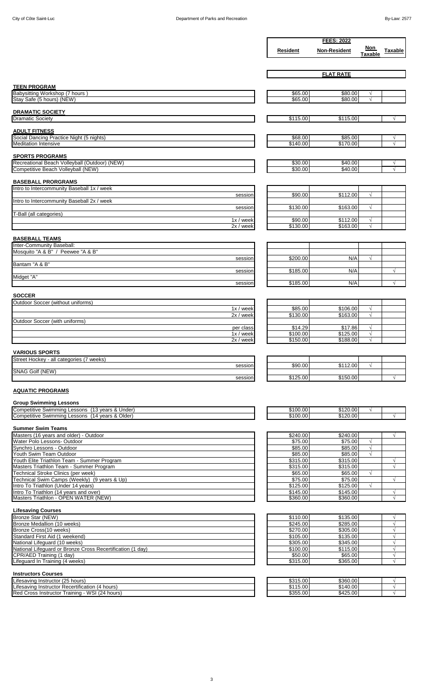|                                                                                                                                                                                                                                                                                                                                                         |                      | <b>FEES: 2022</b>    |                          |                         |
|---------------------------------------------------------------------------------------------------------------------------------------------------------------------------------------------------------------------------------------------------------------------------------------------------------------------------------------------------------|----------------------|----------------------|--------------------------|-------------------------|
|                                                                                                                                                                                                                                                                                                                                                         | Resident             | <b>Non-Resident</b>  | Non<br><b>Taxable</b>    | Taxable                 |
|                                                                                                                                                                                                                                                                                                                                                         |                      |                      |                          |                         |
|                                                                                                                                                                                                                                                                                                                                                         |                      |                      |                          |                         |
|                                                                                                                                                                                                                                                                                                                                                         |                      | <b>FLAT RATE</b>     |                          |                         |
| <b>TEEN PROGRAM</b>                                                                                                                                                                                                                                                                                                                                     |                      |                      |                          |                         |
| Babysitting Workshop (7 hours<br>Stay Safe (5 hours) (NEW)                                                                                                                                                                                                                                                                                              | \$65.00<br>\$65.00   | \$80.00<br>\$80.00   | $\sqrt{ }$<br>$\sqrt{ }$ |                         |
|                                                                                                                                                                                                                                                                                                                                                         |                      |                      |                          |                         |
| <b>DRAMATIC SOCIETY</b>                                                                                                                                                                                                                                                                                                                                 |                      |                      |                          |                         |
| <b>Dramatic Society</b>                                                                                                                                                                                                                                                                                                                                 | \$115.00             | \$115.00             |                          | $\sqrt{ }$              |
| <b>ADULT FITNESS</b>                                                                                                                                                                                                                                                                                                                                    |                      |                      |                          |                         |
| Social Dancing Practice Night (5 nights)<br><b>Meditation Intensive</b>                                                                                                                                                                                                                                                                                 | \$68.00<br>\$140.00  | \$85.00<br>\$170.00  |                          | V<br>$\sqrt{ }$         |
|                                                                                                                                                                                                                                                                                                                                                         |                      |                      |                          |                         |
| <b>SPORTS PROGRAMS</b><br>Recreational Beach Volleyball (Outdoor) (NEW)                                                                                                                                                                                                                                                                                 | \$30.00              | \$40.00              |                          | V                       |
| Competitive Beach Volleyball (NEW)                                                                                                                                                                                                                                                                                                                      | \$30.00              | \$40.00              |                          | $\sqrt{}$               |
|                                                                                                                                                                                                                                                                                                                                                         |                      |                      |                          |                         |
| <b>BASEBALL PRORGRAMS</b><br>Intro to Intercommunity Baseball 1x / week                                                                                                                                                                                                                                                                                 |                      |                      |                          |                         |
| session                                                                                                                                                                                                                                                                                                                                                 | \$90.00              | \$112.00             | $\sqrt{}$                |                         |
| Intro to Intercommunity Baseball 2x / week                                                                                                                                                                                                                                                                                                              |                      |                      |                          |                         |
| session<br>T-Ball (all categories)                                                                                                                                                                                                                                                                                                                      | \$130.00             | \$163.00             | $\sqrt{}$                |                         |
| $1x /$ week                                                                                                                                                                                                                                                                                                                                             | \$90.00              | \$112.00             | $\sqrt{ }$               |                         |
| 2x / week                                                                                                                                                                                                                                                                                                                                               | \$130.00             | \$163.00             | $\sqrt{ }$               |                         |
| <b>BASEBALL TEAMS</b>                                                                                                                                                                                                                                                                                                                                   |                      |                      |                          |                         |
| Inter-Community Baseball:                                                                                                                                                                                                                                                                                                                               |                      |                      |                          |                         |
| Mosquito "A & B" / Peewee "A & B"<br>session                                                                                                                                                                                                                                                                                                            | \$200.00             | N/A                  | $\sqrt{ }$               |                         |
| Bantam "A & B"                                                                                                                                                                                                                                                                                                                                          |                      |                      |                          |                         |
| session<br>Midget "A"                                                                                                                                                                                                                                                                                                                                   | \$185.00             | N/A                  |                          | $\sqrt{}$               |
| session                                                                                                                                                                                                                                                                                                                                                 | \$185.00             | N/A                  |                          | $\sqrt{}$               |
|                                                                                                                                                                                                                                                                                                                                                         |                      |                      |                          |                         |
| <b>SOCCER</b><br>Outdoor Soccer (without uniforms)                                                                                                                                                                                                                                                                                                      |                      |                      |                          |                         |
| $1x /$ week                                                                                                                                                                                                                                                                                                                                             | \$85.00              | \$106.00             | $\sqrt{}$                |                         |
| $2x /$ week                                                                                                                                                                                                                                                                                                                                             | \$130.00             | \$163.00             | $\sqrt{ }$               |                         |
| Outdoor Soccer (with uniforms)<br>per class                                                                                                                                                                                                                                                                                                             | \$14.29              | \$17.86              | $\sqrt{}$                |                         |
| $1x /$ week                                                                                                                                                                                                                                                                                                                                             | \$100.00             | \$125.00             | $\sqrt{ }$               |                         |
| 2x / week                                                                                                                                                                                                                                                                                                                                               | \$150.00             | \$188.00             | $\sqrt{}$                |                         |
|                                                                                                                                                                                                                                                                                                                                                         |                      |                      |                          |                         |
| <b>VARIOUS SPORTS</b>                                                                                                                                                                                                                                                                                                                                   |                      |                      |                          |                         |
| Street Hockey - all categories (7 weeks)                                                                                                                                                                                                                                                                                                                |                      |                      |                          |                         |
| session                                                                                                                                                                                                                                                                                                                                                 | \$90.00              | \$112.00             | $\sqrt{}$                |                         |
| SNAG Golf (NEW)<br>session                                                                                                                                                                                                                                                                                                                              | \$125.00             | \$150.00             |                          | $\sqrt{}$               |
|                                                                                                                                                                                                                                                                                                                                                         |                      |                      |                          |                         |
| <b>AQUATIC PROGRAMS</b>                                                                                                                                                                                                                                                                                                                                 |                      |                      |                          |                         |
| <b>Group Swimming Lessons</b>                                                                                                                                                                                                                                                                                                                           |                      |                      |                          |                         |
|                                                                                                                                                                                                                                                                                                                                                         | \$100.00<br>\$100.00 | \$120.00<br>\$120.00 | $\sqrt{ }$               |                         |
|                                                                                                                                                                                                                                                                                                                                                         |                      |                      |                          |                         |
| Competitive Swimming Lessons (14 years & Older)<br><b>Summer Swim Teams</b>                                                                                                                                                                                                                                                                             |                      |                      |                          |                         |
| Water Polo Lessons- Outdoor                                                                                                                                                                                                                                                                                                                             | \$240.00<br>\$75.00  | \$240.00<br>\$75.00  | $\sqrt{}$                | $\sqrt{ }$              |
| Synchro Lessons - Outdoor                                                                                                                                                                                                                                                                                                                               | \$85.00              | \$85.00              | $\sqrt{}$                |                         |
| Youth Swim Team Outdoor<br>Youth Elite Triathlon Team - Summer Program                                                                                                                                                                                                                                                                                  | \$85.00<br>\$315.00  | \$85.00<br>\$315.00  | $\sqrt{ }$               | $\sqrt{}$               |
| Masters Triathlon Team - Summer Program                                                                                                                                                                                                                                                                                                                 | \$315.00             | \$315.00             |                          | $\sqrt{}$               |
| Technical Stroke Clinics (per week)                                                                                                                                                                                                                                                                                                                     | \$65.00              | \$65.00              | $\sqrt{ }$               |                         |
| Technical Swim Camps (Weekly) (9 years & Up)<br>Intro To Triathlon (Under 14 years)                                                                                                                                                                                                                                                                     | \$75.00<br>\$125.00  | \$75.00<br>\$125.00  | $\sqrt{ }$               | $\sqrt{}$               |
|                                                                                                                                                                                                                                                                                                                                                         | \$145.00             | \$145.00             |                          | $\sqrt{}$               |
|                                                                                                                                                                                                                                                                                                                                                         | \$360.00             | \$360.00             |                          | $\sqrt{}$               |
| <b>Lifesaving Courses</b>                                                                                                                                                                                                                                                                                                                               |                      |                      |                          |                         |
| Bronze Star (NEW)                                                                                                                                                                                                                                                                                                                                       | \$110.00             | \$135.00             |                          |                         |
| Bronze Medallion (10 weeks)<br>Bronze Cross(10 weeks)                                                                                                                                                                                                                                                                                                   | \$245.00<br>\$270.00 | \$285.00<br>\$305.00 |                          | $\sqrt{}$<br>$\sqrt{}$  |
| Standard First Aid (1 weekend)                                                                                                                                                                                                                                                                                                                          | \$105.00             | \$135.00             |                          | $\sqrt{}$               |
| National Lifeguard (10 weeks)                                                                                                                                                                                                                                                                                                                           | \$305.00             | \$345.00             |                          | $\sqrt{}$<br>$\sqrt{}$  |
| National Lifeguard or Bronze Cross Recertification (1 day)<br>CPR/AED Training (1 day)                                                                                                                                                                                                                                                                  | \$100.00<br>\$50.00  | \$115.00<br>\$65.00  |                          | $\sqrt{ }$              |
|                                                                                                                                                                                                                                                                                                                                                         | \$315.00             | \$365.00             |                          | $\sqrt{}$               |
| <b>Instructors Courses</b>                                                                                                                                                                                                                                                                                                                              |                      |                      |                          |                         |
|                                                                                                                                                                                                                                                                                                                                                         | \$315.00             | \$360.00             |                          | √                       |
| Competitive Swimming Lessons (13 years & Under)<br>Masters (16 years and older) - Outdoor<br>Intro To Triathlon (14 years and over)<br>Masters Triathlon - OPEN WATER (NEW)<br>Lifeguard In Training (4 weeks)<br>Lifesaving Instructor (25 hours)<br>Lifesaving Instructor Recertification (4 hours)<br>Red Cross Instructor Training - WSI (24 hours) | \$115.00<br>\$355.00 | \$140.00<br>\$425.00 |                          | $\sqrt{}$<br>$\sqrt{ }$ |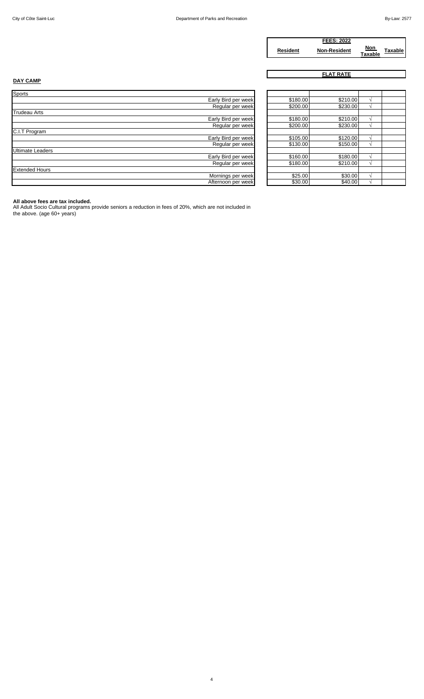|                 | <b>FEES: 2022</b>   |                |                |
|-----------------|---------------------|----------------|----------------|
| <b>Resident</b> | <b>Non-Resident</b> | Non<br>Taxable | <b>Taxable</b> |

**FLAT RATE**

# **DAY CAMP**

| Sports                  |                     |
|-------------------------|---------------------|
|                         | Early Bird per week |
|                         | Regular per week    |
| <b>Trudeau Arts</b>     |                     |
|                         | Early Bird per week |
|                         | Regular per week    |
| C.I.T Program           |                     |
|                         | Early Bird per week |
|                         | Regular per week    |
| <b>Ultimate Leaders</b> |                     |
|                         | Early Bird per week |
|                         | Regular per week    |
| <b>Extended Hours</b>   |                     |
|                         | Mornings per week   |
|                         | Afternoon per week  |

| Early Bird per week | \$180.00 | \$210.00 |   |  |
|---------------------|----------|----------|---|--|
| Regular per week    | \$200.00 | \$230.00 |   |  |
|                     |          |          |   |  |
| Early Bird per week | \$180.00 | \$210.00 |   |  |
| Regular per week    | \$200.00 | \$230.00 | N |  |
|                     |          |          |   |  |
| Early Bird per week | \$105.00 | \$120.00 |   |  |
| Regular per week    | \$130.00 | \$150.00 |   |  |
|                     |          |          |   |  |
| Early Bird per week | \$160.00 | \$180.00 |   |  |
| Regular per week    | \$180.00 | \$210.00 |   |  |
|                     |          |          |   |  |
| Mornings per week   | \$25.00  | \$30.00  |   |  |
| Afternoon per week  | \$30.00  | \$40.00  |   |  |

**All above fees are tax included.** All Adult Socio Cultural programs provide seniors a reduction in fees of 20%, which are not included in the above. (age 60+ years)